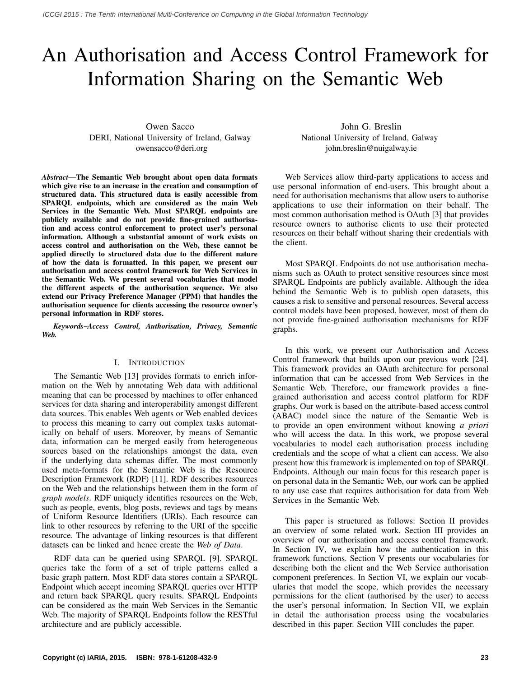# An Authorisation and Access Control Framework for Information Sharing on the Semantic Web

Owen Sacco DERI, National University of Ireland, Galway owensacco@deri.org

*Abstract*—The Semantic Web brought about open data formats which give rise to an increase in the creation and consumption of structured data. This structured data is easily accessible from SPARQL endpoints, which are considered as the main Web Services in the Semantic Web. Most SPARQL endpoints are publicly available and do not provide fine-grained authorisation and access control enforcement to protect user's personal information. Although a substantial amount of work exists on access control and authorisation on the Web, these cannot be applied directly to structured data due to the different nature of how the data is formatted. In this paper, we present our authorisation and access control framework for Web Services in the Semantic Web. We present several vocabularies that model the different aspects of the authorisation sequence. We also extend our Privacy Preference Manager (PPM) that handles the authorisation sequence for clients accessing the resource owner's personal information in RDF stores.

*Keywords*–*Access Control, Authorisation, Privacy, Semantic Web.*

#### I. INTRODUCTION

The Semantic Web [13] provides formats to enrich information on the Web by annotating Web data with additional meaning that can be processed by machines to offer enhanced services for data sharing and interoperability amongst different data sources. This enables Web agents or Web enabled devices to process this meaning to carry out complex tasks automatically on behalf of users. Moreover, by means of Semantic data, information can be merged easily from heterogeneous sources based on the relationships amongst the data, even if the underlying data schemas differ. The most commonly used meta-formats for the Semantic Web is the Resource Description Framework (RDF) [11]. RDF describes resources on the Web and the relationships between them in the form of *graph models*. RDF uniquely identifies resources on the Web, such as people, events, blog posts, reviews and tags by means of Uniform Resource Identifiers (URIs). Each resource can link to other resources by referring to the URI of the specific resource. The advantage of linking resources is that different datasets can be linked and hence create the *Web of Data*.

RDF data can be queried using SPARQL [9]. SPARQL queries take the form of a set of triple patterns called a basic graph pattern. Most RDF data stores contain a SPARQL Endpoint which accept incoming SPARQL queries over HTTP and return back SPARQL query results. SPARQL Endpoints can be considered as the main Web Services in the Semantic Web. The majority of SPARQL Endpoints follow the RESTful architecture and are publicly accessible.

John G. Breslin National University of Ireland, Galway john.breslin@nuigalway.ie

Web Services allow third-party applications to access and use personal information of end-users. This brought about a need for authorisation mechanisms that allow users to authorise applications to use their information on their behalf. The most common authorisation method is OAuth [3] that provides resource owners to authorise clients to use their protected resources on their behalf without sharing their credentials with the client.

Most SPARQL Endpoints do not use authorisation mechanisms such as OAuth to protect sensitive resources since most SPARQL Endpoints are publicly available. Although the idea behind the Semantic Web is to publish open datasets, this causes a risk to sensitive and personal resources. Several access control models have been proposed, however, most of them do not provide fine-grained authorisation mechanisms for RDF graphs.

In this work, we present our Authorisation and Access Control framework that builds upon our previous work [24]. This framework provides an OAuth architecture for personal information that can be accessed from Web Services in the Semantic Web. Therefore, our framework provides a finegrained authorisation and access control platform for RDF graphs. Our work is based on the attribute-based access control (ABAC) model since the nature of the Semantic Web is to provide an open environment without knowing *a priori* who will access the data. In this work, we propose several vocabularies to model each authorisation process including credentials and the scope of what a client can access. We also present how this framework is implemented on top of SPARQL Endpoints. Although our main focus for this research paper is on personal data in the Semantic Web, our work can be applied to any use case that requires authorisation for data from Web Services in the Semantic Web.

This paper is structured as follows: Section II provides an overview of some related work. Section III provides an overview of our authorisation and access control framework. In Section IV, we explain how the authentication in this framework functions. Section V presents our vocabularies for describing both the client and the Web Service authorisation component preferences. In Section VI, we explain our vocabularies that model the scope, which provides the necessary permissions for the client (authorised by the user) to access the user's personal information. In Section VII, we explain in detail the authorisation process using the vocabularies described in this paper. Section VIII concludes the paper.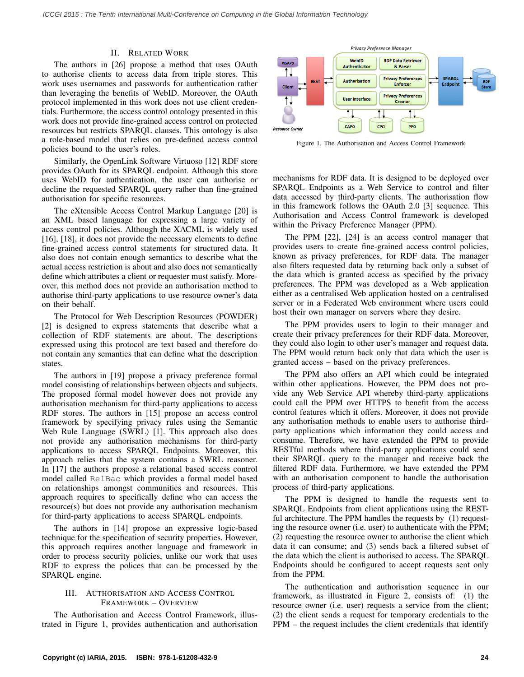## II. RELATED WORK

The authors in [26] propose a method that uses OAuth to authorise clients to access data from triple stores. This work uses usernames and passwords for authentication rather than leveraging the benefits of WebID. Moreover, the OAuth protocol implemented in this work does not use client credentials. Furthermore, the access control ontology presented in this work does not provide fine-grained access control on protected resources but restricts SPARQL clauses. This ontology is also a role-based model that relies on pre-defined access control policies bound to the user's roles.

Similarly, the OpenLink Software Virtuoso [12] RDF store provides OAuth for its SPARQL endpoint. Although this store uses WebID for authentication, the user can authorise or decline the requested SPARQL query rather than fine-grained authorisation for specific resources.

The eXtensible Access Control Markup Language [20] is an XML based language for expressing a large variety of access control policies. Although the XACML is widely used [16], [18], it does not provide the necessary elements to define fine-grained access control statements for structured data. It also does not contain enough semantics to describe what the actual access restriction is about and also does not semantically define which attributes a client or requester must satisfy. Moreover, this method does not provide an authorisation method to authorise third-party applications to use resource owner's data on their behalf.

The Protocol for Web Description Resources (POWDER) [2] is designed to express statements that describe what a collection of RDF statements are about. The descriptions expressed using this protocol are text based and therefore do not contain any semantics that can define what the description states.

The authors in [19] propose a privacy preference formal model consisting of relationships between objects and subjects. The proposed formal model however does not provide any authorisation mechanism for third-party applications to access RDF stores. The authors in [15] propose an access control framework by specifying privacy rules using the Semantic Web Rule Language (SWRL) [1]. This approach also does not provide any authorisation mechanisms for third-party applications to access SPARQL Endpoints. Moreover, this approach relies that the system contains a SWRL reasoner. In [17] the authors propose a relational based access control model called RelBac which provides a formal model based on relationships amongst communities and resources. This approach requires to specifically define who can access the resource(s) but does not provide any authorisation mechanism for third-party applications to access SPARQL endpoints.

The authors in [14] propose an expressive logic-based technique for the specification of security properties. However, this approach requires another language and framework in order to process security policies, unlike our work that uses RDF to express the polices that can be processed by the SPARQL engine.

## III. AUTHORISATION AND ACCESS CONTROL FRAMEWORK – OVERVIEW

The Authorisation and Access Control Framework, illustrated in Figure 1, provides authentication and authorisation



Figure 1. The Authorisation and Access Control Framework

mechanisms for RDF data. It is designed to be deployed over SPARQL Endpoints as a Web Service to control and filter data accessed by third-party clients. The authorisation flow in this framework follows the OAuth 2.0 [3] sequence. This Authorisation and Access Control framework is developed within the Privacy Preference Manager (PPM).

The PPM [22], [24] is an access control manager that provides users to create fine-grained access control policies, known as privacy preferences, for RDF data. The manager also filters requested data by returning back only a subset of the data which is granted access as specified by the privacy preferences. The PPM was developed as a Web application either as a centralised Web application hosted on a centralised server or in a Federated Web environment where users could host their own manager on servers where they desire.

The PPM provides users to login to their manager and create their privacy preferences for their RDF data. Moreover, they could also login to other user's manager and request data. The PPM would return back only that data which the user is granted access – based on the privacy preferences.

The PPM also offers an API which could be integrated within other applications. However, the PPM does not provide any Web Service API whereby third-party applications could call the PPM over HTTPS to benefit from the access control features which it offers. Moreover, it does not provide any authorisation methods to enable users to authorise thirdparty applications which information they could access and consume. Therefore, we have extended the PPM to provide RESTful methods where third-party applications could send their SPARQL query to the manager and receive back the filtered RDF data. Furthermore, we have extended the PPM with an authorisation component to handle the authorisation process of third-party applications.

The PPM is designed to handle the requests sent to SPARQL Endpoints from client applications using the RESTful architecture. The PPM handles the requests by (1) requesting the resource owner (i.e. user) to authenticate with the PPM; (2) requesting the resource owner to authorise the client which data it can consume; and (3) sends back a filtered subset of the data which the client is authorised to access. The SPARQL Endpoints should be configured to accept requests sent only from the PPM.

The authentication and authorisation sequence in our framework, as illustrated in Figure 2, consists of: (1) the resource owner (i.e. user) requests a service from the client; (2) the client sends a request for temporary credentials to the PPM – the request includes the client credentials that identify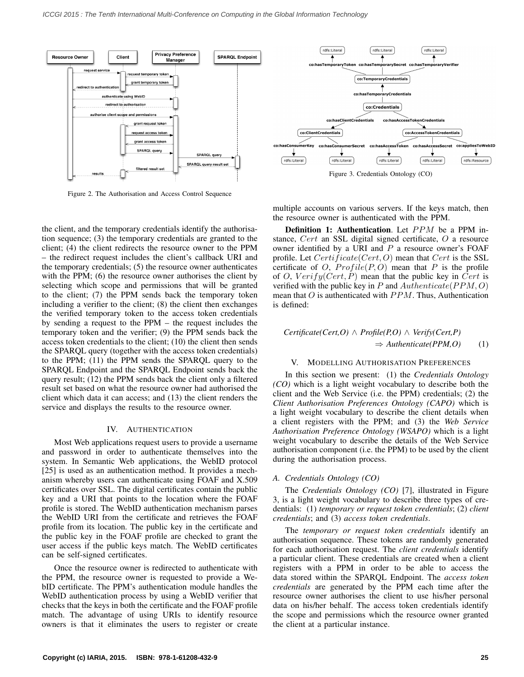

Figure 2. The Authorisation and Access Control Sequence

the client, and the temporary credentials identify the authorisation sequence; (3) the temporary credentials are granted to the client; (4) the client redirects the resource owner to the PPM – the redirect request includes the client's callback URI and the temporary credentials; (5) the resource owner authenticates with the PPM; (6) the resource owner authorises the client by selecting which scope and permissions that will be granted to the client; (7) the PPM sends back the temporary token including a verifier to the client; (8) the client then exchanges the verified temporary token to the access token credentials by sending a request to the PPM – the request includes the temporary token and the verifier; (9) the PPM sends back the access token credentials to the client; (10) the client then sends the SPARQL query (together with the access token credentials) to the PPM; (11) the PPM sends the SPARQL query to the SPARQL Endpoint and the SPARQL Endpoint sends back the query result; (12) the PPM sends back the client only a filtered result set based on what the resource owner had authorised the client which data it can access; and (13) the client renders the service and displays the results to the resource owner.

#### IV. AUTHENTICATION

Most Web applications request users to provide a username and password in order to authenticate themselves into the system. In Semantic Web applications, the WebID protocol [25] is used as an authentication method. It provides a mechanism whereby users can authenticate using FOAF and X.509 certificates over SSL. The digital certificates contain the public key and a URI that points to the location where the FOAF profile is stored. The WebID authentication mechanism parses the WebID URI from the certificate and retrieves the FOAF profile from its location. The public key in the certificate and the public key in the FOAF profile are checked to grant the user access if the public keys match. The WebID certificates can be self-signed certificates.

Once the resource owner is redirected to authenticate with the PPM, the resource owner is requested to provide a WebID certificate. The PPM's authentication module handles the WebID authentication process by using a WebID verifier that checks that the keys in both the certificate and the FOAF profile match. The advantage of using URIs to identify resource owners is that it eliminates the users to register or create



Figure 3. Credentials Ontology (CO)

multiple accounts on various servers. If the keys match, then the resource owner is authenticated with the PPM.

Definition 1: Authentication. Let PPM be a PPM instance, Cert an SSL digital signed certificate, O a resource owner identified by a URI and  $P$  a resource owner's FOAF profile. Let  $Certificate(Cert, O)$  mean that  $Cert$  is the SSL certificate of O,  $Profile(P, O)$  mean that P is the profile of O,  $Verify(Cert, P)$  mean that the public key in Cert is verified with the public key in P and  $\text{Authenticate}(PPM, O)$ mean that  $O$  is authenticated with  $PPM$ . Thus, Authentication is defined:

$$
Certificate(Cert, O) \land Profile(P, O) \land Verify(Cert, P)
$$
  

$$
\Rightarrow Authentication(PPM, O) \qquad (1)
$$

#### V. MODELLING AUTHORISATION PREFERENCES

In this section we present: (1) the *Credentials Ontology (CO)* which is a light weight vocabulary to describe both the client and the Web Service (i.e. the PPM) credentials; (2) the *Client Authorisation Preferences Ontology (CAPO)* which is a light weight vocabulary to describe the client details when a client registers with the PPM; and (3) the *Web Service Authorisation Preference Ontology (WSAPO)* which is a light weight vocabulary to describe the details of the Web Service authorisation component (i.e. the PPM) to be used by the client during the authorisation process.

#### *A. Credentials Ontology (CO)*

The *Credentials Ontology (CO)* [7], illustrated in Figure 3, is a light weight vocabulary to describe three types of credentials: (1) *temporary or request token credentials*; (2) *client credentials*; and (3) *access token credentials*.

The *temporary or request token credentials* identify an authorisation sequence. These tokens are randomly generated for each authorisation request. The *client credentials* identify a particular client. These credentials are created when a client registers with a PPM in order to be able to access the data stored within the SPARQL Endpoint. The *access token credentials* are generated by the PPM each time after the resource owner authorises the client to use his/her personal data on his/her behalf. The access token credentials identify the scope and permissions which the resource owner granted the client at a particular instance.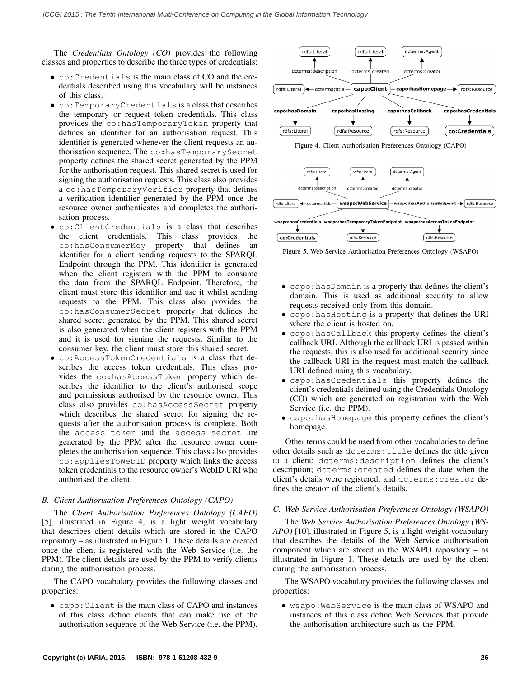The *Credentials Ontology (CO)* provides the following classes and properties to describe the three types of credentials:

- co:Credentials is the main class of CO and the credentials described using this vocabulary will be instances of this class.
- co:TemporaryCredentials is a class that describes the temporary or request token credentials. This class provides the co:hasTemporaryToken property that defines an identifier for an authorisation request. This identifier is generated whenever the client requests an authorisation sequence. The co:hasTemporarySecret property defines the shared secret generated by the PPM for the authorisation request. This shared secret is used for signing the authorisation requests. This class also provides a co:hasTemporaryVerifier property that defines a verification identifier generated by the PPM once the resource owner authenticates and completes the authorisation process.
- co:ClientCredentials is a class that describes the client credentials. This class provides the co:hasConsumerKey property that defines an identifier for a client sending requests to the SPARQL Endpoint through the PPM. This identifier is generated when the client registers with the PPM to consume the data from the SPARQL Endpoint. Therefore, the client must store this identifier and use it whilst sending requests to the PPM. This class also provides the co:hasConsumerSecret property that defines the shared secret generated by the PPM. This shared secret is also generated when the client registers with the PPM and it is used for signing the requests. Similar to the consumer key, the client must store this shared secret.
- co:AccessTokenCredentials is a class that describes the access token credentials. This class provides the co:hasAccessToken property which describes the identifier to the client's authorised scope and permissions authorised by the resource owner. This class also provides co:hasAccessSecret property which describes the shared secret for signing the requests after the authorisation process is complete. Both the access token and the access secret are generated by the PPM after the resource owner completes the authorisation sequence. This class also provides co:appliesToWebID property which links the access token credentials to the resource owner's WebID URI who authorised the client.

#### *B. Client Authorisation Preferences Ontology (CAPO)*

The *Client Authorisation Preferences Ontology (CAPO)* [5], illustrated in Figure 4, is a light weight vocabulary that describes client details which are stored in the CAPO repository – as illustrated in Figure 1. These details are created once the client is registered with the Web Service (i.e. the PPM). The client details are used by the PPM to verify clients during the authorisation process.

The CAPO vocabulary provides the following classes and properties:

• capo:Client is the main class of CAPO and instances of this class define clients that can make use of the authorisation sequence of the Web Service (i.e. the PPM).



Figure 4. Client Authorisation Preferences Ontology (CAPO)



Figure 5. Web Service Authorisation Preferences Ontology (WSAPO)

- capo:hasDomain is a property that defines the client's domain. This is used as additional security to allow requests received only from this domain.
- capo:hasHosting is a property that defines the URI where the client is hosted on.
- capo:hasCallback this property defines the client's callback URI. Although the callback URI is passed within the requests, this is also used for additional security since the callback URI in the request must match the callback URI defined using this vocabulary.
- capo:hasCredentials this property defines the client's credentials defined using the Credentials Ontology (CO) which are generated on registration with the Web Service (i.e. the PPM).
- capo:hasHomepage this property defines the client's homepage.

Other terms could be used from other vocabularies to define other details such as dcterms:title defines the title given to a client; dcterms:description defines the client's description; dcterms:created defines the date when the client's details were registered; and dcterms:creator defines the creator of the client's details.

## *C. Web Service Authorisation Preferences Ontology (WSAPO)*

The *Web Service Authorisation Preferences Ontology (WS-APO)* [10], illustrated in Figure 5, is a light weight vocabulary that describes the details of the Web Service authorisation component which are stored in the WSAPO repository – as illustrated in Figure 1. These details are used by the client during the authorisation process.

The WSAPO vocabulary provides the following classes and properties:

• wsapo:WebService is the main class of WSAPO and instances of this class define Web Services that provide the authorisation architecture such as the PPM.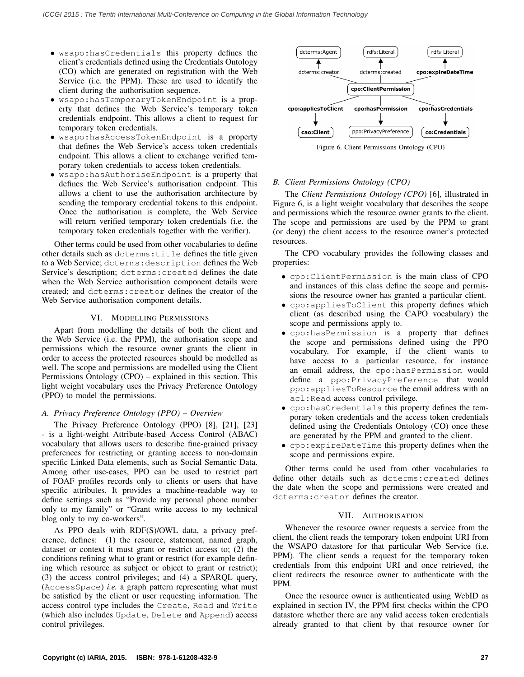- wsapo:hasCredentials this property defines the client's credentials defined using the Credentials Ontology (CO) which are generated on registration with the Web Service (i.e. the PPM). These are used to identify the client during the authorisation sequence.
- wsapo:hasTemporaryTokenEndpoint is a property that defines the Web Service's temporary token credentials endpoint. This allows a client to request for temporary token credentials.
- wsapo:hasAccessTokenEndpoint is a property that defines the Web Service's access token credentials endpoint. This allows a client to exchange verified temporary token credentials to access token credentials.
- wsapo:hasAuthoriseEndpoint is a property that defines the Web Service's authorisation endpoint. This allows a client to use the authorisation architecture by sending the temporary credential tokens to this endpoint. Once the authorisation is complete, the Web Service will return verified temporary token credentials (i.e. the temporary token credentials together with the verifier).

Other terms could be used from other vocabularies to define other details such as dcterms:title defines the title given to a Web Service; dcterms:description defines the Web Service's description; dcterms:created defines the date when the Web Service authorisation component details were created; and dcterms:creator defines the creator of the Web Service authorisation component details.

## VI. MODELLING PERMISSIONS

Apart from modelling the details of both the client and the Web Service (i.e. the PPM), the authorisation scope and permissions which the resource owner grants the client in order to access the protected resources should be modelled as well. The scope and permissions are modelled using the Client Permissions Ontology (CPO) – explained in this section. This light weight vocabulary uses the Privacy Preference Ontology (PPO) to model the permissions.

## *A. Privacy Preference Ontology (PPO) – Overview*

The Privacy Preference Ontology (PPO) [8], [21], [23] - is a light-weight Attribute-based Access Control (ABAC) vocabulary that allows users to describe fine-grained privacy preferences for restricting or granting access to non-domain specific Linked Data elements, such as Social Semantic Data. Among other use-cases, PPO can be used to restrict part of FOAF profiles records only to clients or users that have specific attributes. It provides a machine-readable way to define settings such as "Provide my personal phone number only to my family" or "Grant write access to my technical blog only to my co-workers".

As PPO deals with RDF(S)/OWL data, a privacy preference, defines: (1) the resource, statement, named graph, dataset or context it must grant or restrict access to; (2) the conditions refining what to grant or restrict (for example defining which resource as subject or object to grant or restrict); (3) the access control privileges; and (4) a SPARQL query, (AccessSpace) *i.e.* a graph pattern representing what must be satisfied by the client or user requesting information. The access control type includes the Create, Read and Write (which also includes Update, Delete and Append) access control privileges.



Figure 6. Client Permissions Ontology (CPO)

## *B. Client Permissions Ontology (CPO)*

The *Client Permissions Ontology (CPO)* [6], illustrated in Figure 6, is a light weight vocabulary that describes the scope and permissions which the resource owner grants to the client. The scope and permissions are used by the PPM to grant (or deny) the client access to the resource owner's protected resources.

The CPO vocabulary provides the following classes and properties:

- cpo:ClientPermission is the main class of CPO and instances of this class define the scope and permissions the resource owner has granted a particular client.
- cpo:appliesToClient this property defines which client (as described using the CAPO vocabulary) the scope and permissions apply to.
- cpo:hasPermission is a property that defines the scope and permissions defined using the PPO vocabulary. For example, if the client wants to have access to a particular resource, for instance an email address, the cpo:hasPermission would define a ppo:PrivacyPreference that would ppo:appliesToResource the email address with an acl:Read access control privilege.
- cpo:hasCredentials this property defines the temporary token credentials and the access token credentials defined using the Credentials Ontology (CO) once these are generated by the PPM and granted to the client.
- cpo:expireDateTime this property defines when the scope and permissions expire.

Other terms could be used from other vocabularies to define other details such as dcterms:created defines the date when the scope and permissions were created and dcterms:creator defines the creator.

## VII. AUTHORISATION

Whenever the resource owner requests a service from the client, the client reads the temporary token endpoint URI from the WSAPO datastore for that particular Web Service (i.e. PPM). The client sends a request for the temporary token credentials from this endpoint URI and once retrieved, the client redirects the resource owner to authenticate with the PPM.

Once the resource owner is authenticated using WebID as explained in section IV, the PPM first checks within the CPO datastore whether there are any valid access token credentials already granted to that client by that resource owner for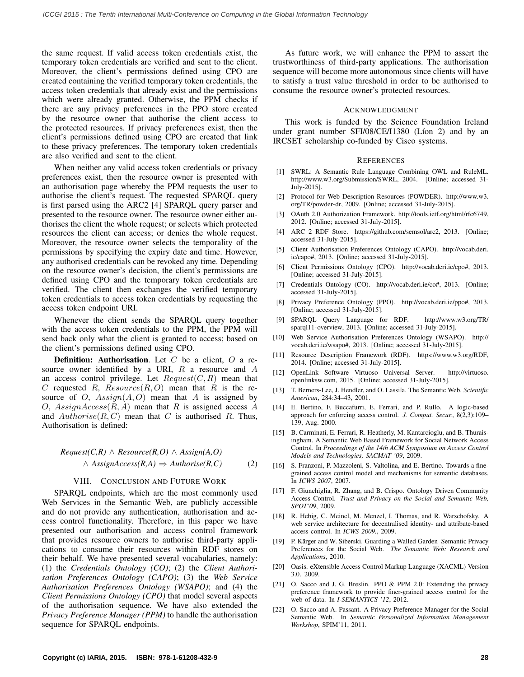the same request. If valid access token credentials exist, the temporary token credentials are verified and sent to the client. Moreover, the client's permissions defined using CPO are created containing the verified temporary token credentials, the access token credentials that already exist and the permissions which were already granted. Otherwise, the PPM checks if there are any privacy preferences in the PPO store created by the resource owner that authorise the client access to the protected resources. If privacy preferences exist, then the client's permissions defined using CPO are created that link to these privacy preferences. The temporary token credentials are also verified and sent to the client.

When neither any valid access token credentials or privacy preferences exist, then the resource owner is presented with an authorisation page whereby the PPM requests the user to authorise the client's request. The requested SPARQL query is first parsed using the ARC2 [4] SPARQL query parser and presented to the resource owner. The resource owner either authorises the client the whole request; or selects which protected resources the client can access; or denies the whole request. Moreover, the resource owner selects the temporality of the permissions by specifying the expiry date and time. However, any authorised credentials can be revoked any time. Depending on the resource owner's decision, the client's permissions are defined using CPO and the temporary token credentials are verified. The client then exchanges the verified temporary token credentials to access token credentials by requesting the access token endpoint URI.

Whenever the client sends the SPARQL query together with the access token credentials to the PPM, the PPM will send back only what the client is granted to access; based on the client's permissions defined using CPO.

**Definition:** Authorisation. Let  $C$  be a client,  $O$  a resource owner identified by a URI,  $R$  a resource and  $A$ an access control privilege. Let  $Request(C, R)$  mean that C requested R,  $Resource(R, O)$  mean that R is the resource of O,  $Assign(A, O)$  mean that A is assigned by O,  $AssignAccess(R, A)$  mean that R is assigned access A and  $Authorise(R, C)$  mean that C is authorised R. Thus, Authorisation is defined:

## *Request(C,R)* ∧ *Resource(R,O)* ∧ *Assign(A,O)* ∧ *AssignAccess(R,A)* ⇒ *Authorise(R,C)* (2)

#### VIII. CONCLUSION AND FUTURE WORK

SPARQL endpoints, which are the most commonly used Web Services in the Semantic Web, are publicly accessible and do not provide any authentication, authorisation and access control functionality. Therefore, in this paper we have presented our authorisation and access control framework that provides resource owners to authorise third-party applications to consume their resources within RDF stores on their behalf. We have presented several vocabularies, namely: (1) the *Credentials Ontology (CO)*; (2) the *Client Authorisation Preferences Ontology (CAPO)*; (3) the *Web Service Authorisation Preferences Ontology (WSAPO)*; and (4) the *Client Permissions Ontology (CPO)* that model several aspects of the authorisation sequence. We have also extended the *Privacy Preference Manager (PPM)* to handle the authorisation sequence for SPARQL endpoints.

As future work, we will enhance the PPM to assert the trustworthiness of third-party applications. The authorisation sequence will become more autonomous since clients will have to satisfy a trust value threshold in order to be authorised to consume the resource owner's protected resources.

#### ACKNOWLEDGMENT

This work is funded by the Science Foundation Ireland under grant number SFI/08/CE/I1380 (Líon 2) and by an IRCSET scholarship co-funded by Cisco systems.

#### **REFERENCES**

- [1] SWRL: A Semantic Rule Language Combining OWL and RuleML. http://www.w3.org/Submission/SWRL, 2004. [Online; accessed 31- July-2015].
- [2] Protocol for Web Description Resources (POWDER). http://www.w3. org/TR/powder-dr, 2009. [Online; accessed 31-July-2015].
- [3] OAuth 2.0 Authorization Framework. http://tools.ietf.org/html/rfc6749, 2012. [Online; accessed 31-July-2015].
- [4] ARC 2 RDF Store. https://github.com/semsol/arc2, 2013. [Online; accessed 31-July-2015].
- [5] Client Authorisation Preferences Ontology (CAPO). http://vocab.deri. ie/capo#, 2013. [Online; accessed 31-July-2015].
- [6] Client Permissions Ontology (CPO). http://vocab.deri.ie/cpo#, 2013. [Online; accessed 31-July-2015].
- [7] Credentials Ontology (CO). http://vocab.deri.ie/co#, 2013. [Online; accessed 31-July-2015].
- [8] Privacy Preference Ontology (PPO). http://vocab.deri.ie/ppo#, 2013. [Online; accessed 31-July-2015].
- [9] SPARQL Query Language for RDF. http://www.w3.org/TR/ sparql11-overview, 2013. [Online; accessed 31-July-2015].
- [10] Web Service Authorisation Preferences Ontology (WSAPO). http:// vocab.deri.ie/wsapo#, 2013. [Online; accessed 31-July-2015].
- [11] Resource Description Framework (RDF). https://www.w3.org/RDF, 2014. [Online; accessed 31-July-2015].
- [12] OpenLink Software Virtuoso Universal Server. http://virtuoso. openlinksw.com, 2015. [Online; accessed 31-July-2015].
- [13] T. Berners-Lee, J. Hendler, and O. Lassila. The Semantic Web. *Scientific American*, 284:34–43, 2001.
- [14] E. Bertino, F. Buccafurri, E. Ferrari, and P. Rullo. A logic-based approach for enforcing access control. *J. Comput. Secur.*, 8(2,3):109– 139, Aug. 2000.
- [15] B. Carminati, E. Ferrari, R. Heatherly, M. Kantarcioglu, and B. Thuraisingham. A Semantic Web Based Framework for Social Network Access Control. In *Proceedings of the 14th ACM Symposium on Access Control Models and Technologies, SACMAT '09*, 2009.
- [16] S. Franzoni, P. Mazzoleni, S. Valtolina, and E. Bertino. Towards a finegrained access control model and mechanisms for semantic databases. In *ICWS 2007*, 2007.
- [17] F. Giunchiglia, R. Zhang, and B. Crispo. Ontology Driven Community Access Control. *Trust and Privacy on the Social and Semantic Web, SPOT'09*, 2009.
- [18] R. Hebig, C. Meinel, M. Menzel, I. Thomas, and R. Warschofsky. A web service architecture for decentralised identity- and attribute-based access control. In *ICWS 2009.*, 2009.
- [19] P. Kärger and W. Siberski. Guarding a Walled Garden Semantic Privacy Preferences for the Social Web. *The Semantic Web: Research and Applications*, 2010.
- [20] Oasis. eXtensible Access Control Markup Language (XACML) Version 3.0. 2009.
- [21] O. Sacco and J. G. Breslin. PPO & PPM 2.0: Extending the privacy preference framework to provide finer-grained access control for the web of data. In *I-SEMANTICS '12*, 2012.
- [22] O. Sacco and A. Passant. A Privacy Preference Manager for the Social Semantic Web. In *Semantic Personalized Information Management Workshop*, SPIM'11, 2011.